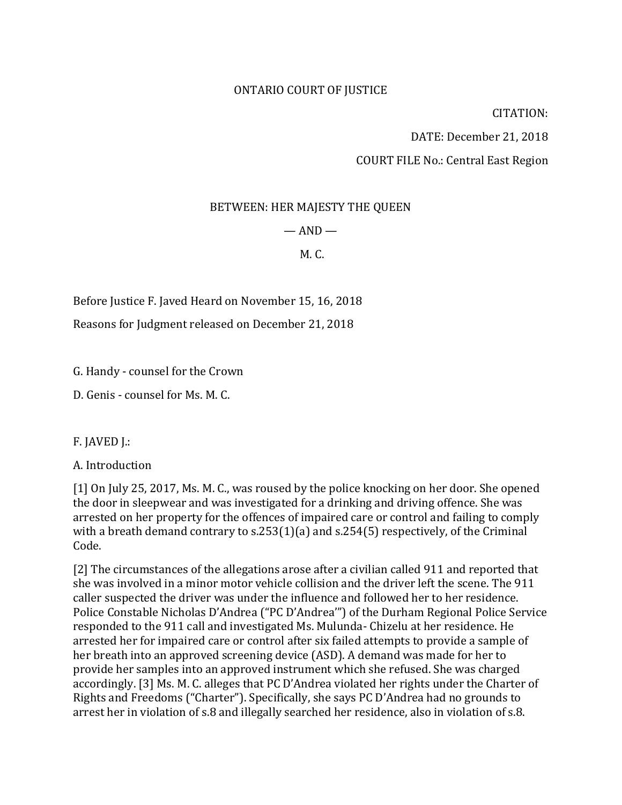#### ONTARIO COURT OF JUSTICE

CITATION:

DATE: December 21, 2018

COURT FILE No.: Central East Region

#### BETWEEN: HER MAJESTY THE QUEEN

#### $-$  AND  $-$

#### M. C.

Before Justice F. Javed Heard on November 15, 16, 2018

Reasons for Judgment released on December 21, 2018

G. Handy - counsel for the Crown

D. Genis - counsel for Ms. M. C.

F. JAVED J.:

A. Introduction

[1] On July 25, 2017, Ms. M. C., was roused by the police knocking on her door. She opened the door in sleepwear and was investigated for a drinking and driving offence. She was arrested on her property for the offences of impaired care or control and failing to comply with a breath demand contrary to s.253(1)(a) and s.254(5) respectively, of the Criminal Code.

[2] The circumstances of the allegations arose after a civilian called 911 and reported that she was involved in a minor motor vehicle collision and the driver left the scene. The 911 caller suspected the driver was under the influence and followed her to her residence. Police Constable Nicholas D'Andrea ("PC D'Andrea'") of the Durham Regional Police Service responded to the 911 call and investigated Ms. Mulunda- Chizelu at her residence. He arrested her for impaired care or control after six failed attempts to provide a sample of her breath into an approved screening device (ASD). A demand was made for her to provide her samples into an approved instrument which she refused. She was charged accordingly. [3] Ms. M. C. alleges that PC D'Andrea violated her rights under the Charter of Rights and Freedoms ("Charter"). Specifically, she says PC D'Andrea had no grounds to arrest her in violation of s.8 and illegally searched her residence, also in violation of s.8.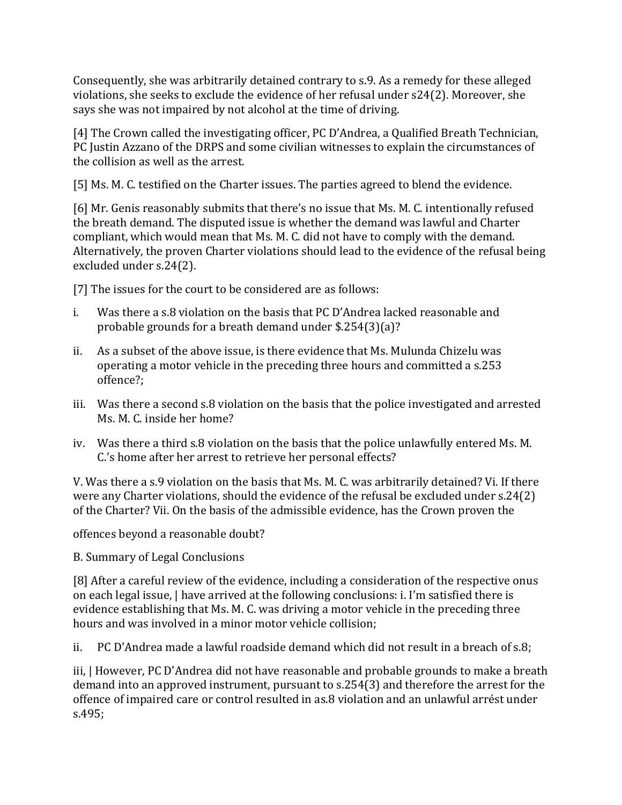Consequently, she was arbitrarily detained contrary to s.9. As a remedy for these alleged violations, she seeks to exclude the evidence of her refusal under s24(2). Moreover, she says she was not impaired by not alcohol at the time of driving.

[4] The Crown called the investigating officer, PC D'Andrea, a Qualified Breath Technician, PC Justin Azzano of the DRPS and some civilian witnesses to explain the circumstances of the collision as well as the arrest.

[5] Ms. M. C. testified on the Charter issues. The parties agreed to blend the evidence.

[6] Mr. Genis reasonably submits that there's no issue that Ms. M. C. intentionally refused the breath demand. The disputed issue is whether the demand was lawful and Charter compliant, which would mean that Ms. M. C. did not have to comply with the demand. Alternatively, the proven Charter violations should lead to the evidence of the refusal being excluded under s.24(2).

[7] The issues for the court to be considered are as follows:

- i. Was there a s.8 violation on the basis that PC D'Andrea lacked reasonable and probable grounds for a breath demand under \$.254(3)(a)?
- ii. As a subset of the above issue, is there evidence that Ms. Mulunda Chizelu was operating a motor vehicle in the preceding three hours and committed a s.253 offence?;
- iii. Was there a second s.8 violation on the basis that the police investigated and arrested Ms. M. C. inside her home?
- iv. Was there a third s.8 violation on the basis that the police unlawfully entered Ms. M. C.'s home after her arrest to retrieve her personal effects?

V. Was there a s.9 violation on the basis that Ms. M. C. was arbitrarily detained? Vi. If there were any Charter violations, should the evidence of the refusal be excluded under s.24(2) of the Charter? Vii. On the basis of the admissible evidence, has the Crown proven the

offences beyond a reasonable doubt?

B. Summary of Legal Conclusions

[8] After a careful review of the evidence, including a consideration of the respective onus on each legal issue, | have arrived at the following conclusions: i. I'm satisfied there is evidence establishing that Ms. M. C. was driving a motor vehicle in the preceding three hours and was involved in a minor motor vehicle collision;

ii. PC D'Andrea made a lawful roadside demand which did not result in a breach of s.8;

iii, | However, PC D'Andrea did not have reasonable and probable grounds to make a breath demand into an approved instrument, pursuant to s.254(3) and therefore the arrest for the offence of impaired care or control resulted in as.8 violation and an unlawful arrést under s.495;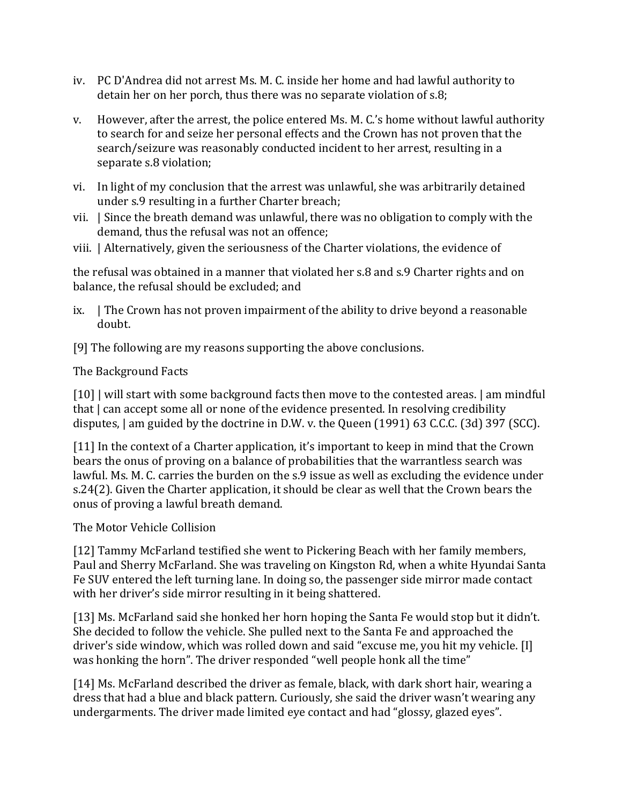- iv. PC D'Andrea did not arrest Ms. M. C. inside her home and had lawful authority to detain her on her porch, thus there was no separate violation of s.8;
- v. However, after the arrest, the police entered Ms. M. C.'s home without lawful authority to search for and seize her personal effects and the Crown has not proven that the search/seizure was reasonably conducted incident to her arrest, resulting in a separate s.8 violation;
- vi. In light of my conclusion that the arrest was unlawful, she was arbitrarily detained under s.9 resulting in a further Charter breach;
- vii. | Since the breath demand was unlawful, there was no obligation to comply with the demand, thus the refusal was not an offence;
- viii. | Alternatively, given the seriousness of the Charter violations, the evidence of

the refusal was obtained in a manner that violated her s.8 and s.9 Charter rights and on balance, the refusal should be excluded; and

- ix. | The Crown has not proven impairment of the ability to drive beyond a reasonable doubt.
- [9] The following are my reasons supporting the above conclusions.

#### The Background Facts

[10] | will start with some background facts then move to the contested areas. | am mindful that | can accept some all or none of the evidence presented. In resolving credibility disputes, | am guided by the doctrine in D.W. v. the Queen (1991) 63 C.C.C. (3d) 397 (SCC).

[11] In the context of a Charter application, it's important to keep in mind that the Crown bears the onus of proving on a balance of probabilities that the warrantless search was lawful. Ms. M. C. carries the burden on the s.9 issue as well as excluding the evidence under s.24(2). Given the Charter application, it should be clear as well that the Crown bears the onus of proving a lawful breath demand.

# The Motor Vehicle Collision

[12] Tammy McFarland testified she went to Pickering Beach with her family members, Paul and Sherry McFarland. She was traveling on Kingston Rd, when a white Hyundai Santa Fe SUV entered the left turning lane. In doing so, the passenger side mirror made contact with her driver's side mirror resulting in it being shattered.

[13] Ms. McFarland said she honked her horn hoping the Santa Fe would stop but it didn't. She decided to follow the vehicle. She pulled next to the Santa Fe and approached the driver's side window, which was rolled down and said "excuse me, you hit my vehicle. [I] was honking the horn". The driver responded "well people honk all the time"

[14] Ms. McFarland described the driver as female, black, with dark short hair, wearing a dress that had a blue and black pattern. Curiously, she said the driver wasn't wearing any undergarments. The driver made limited eye contact and had "glossy, glazed eyes".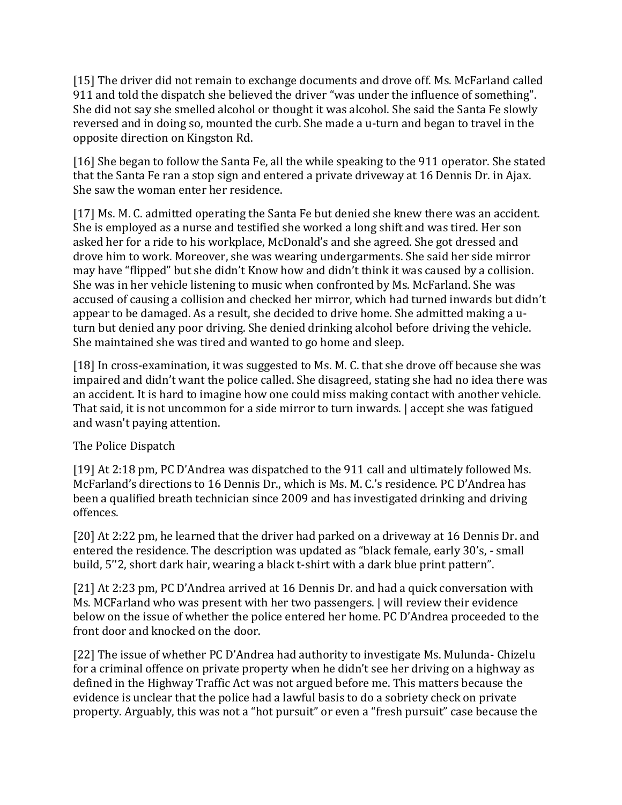[15] The driver did not remain to exchange documents and drove off. Ms. McFarland called 911 and told the dispatch she believed the driver "was under the influence of something". She did not say she smelled alcohol or thought it was alcohol. She said the Santa Fe slowly reversed and in doing so, mounted the curb. She made a u-turn and began to travel in the opposite direction on Kingston Rd.

[16] She began to follow the Santa Fe, all the while speaking to the 911 operator. She stated that the Santa Fe ran a stop sign and entered a private driveway at 16 Dennis Dr. in Ajax. She saw the woman enter her residence.

[17] Ms. M. C. admitted operating the Santa Fe but denied she knew there was an accident. She is employed as a nurse and testified she worked a long shift and was tired. Her son asked her for a ride to his workplace, McDonald's and she agreed. She got dressed and drove him to work. Moreover, she was wearing undergarments. She said her side mirror may have "flipped" but she didn't Know how and didn't think it was caused by a collision. She was in her vehicle listening to music when confronted by Ms. McFarland. She was accused of causing a collision and checked her mirror, which had turned inwards but didn't appear to be damaged. As a result, she decided to drive home. She admitted making a uturn but denied any poor driving. She denied drinking alcohol before driving the vehicle. She maintained she was tired and wanted to go home and sleep.

[18] In cross-examination, it was suggested to Ms. M. C. that she drove off because she was impaired and didn't want the police called. She disagreed, stating she had no idea there was an accident. It is hard to imagine how one could miss making contact with another vehicle. That said, it is not uncommon for a side mirror to turn inwards. | accept she was fatigued and wasn't paying attention.

# The Police Dispatch

[19] At 2:18 pm, PC D'Andrea was dispatched to the 911 call and ultimately followed Ms. McFarland's directions to 16 Dennis Dr., which is Ms. M. C.'s residence. PC D'Andrea has been a qualified breath technician since 2009 and has investigated drinking and driving offences.

[20] At 2:22 pm, he learned that the driver had parked on a driveway at 16 Dennis Dr. and entered the residence. The description was updated as "black female, early 30's, - small build, 5''2, short dark hair, wearing a black t-shirt with a dark blue print pattern".

[21] At 2:23 pm, PC D'Andrea arrived at 16 Dennis Dr. and had a quick conversation with Ms. MCFarland who was present with her two passengers. | will review their evidence below on the issue of whether the police entered her home. PC D'Andrea proceeded to the front door and knocked on the door.

[22] The issue of whether PC D'Andrea had authority to investigate Ms. Mulunda- Chizelu for a criminal offence on private property when he didn't see her driving on a highway as defined in the Highway Traffic Act was not argued before me. This matters because the evidence is unclear that the police had a lawful basis to do a sobriety check on private property. Arguably, this was not a "hot pursuit" or even a "fresh pursuit" case because the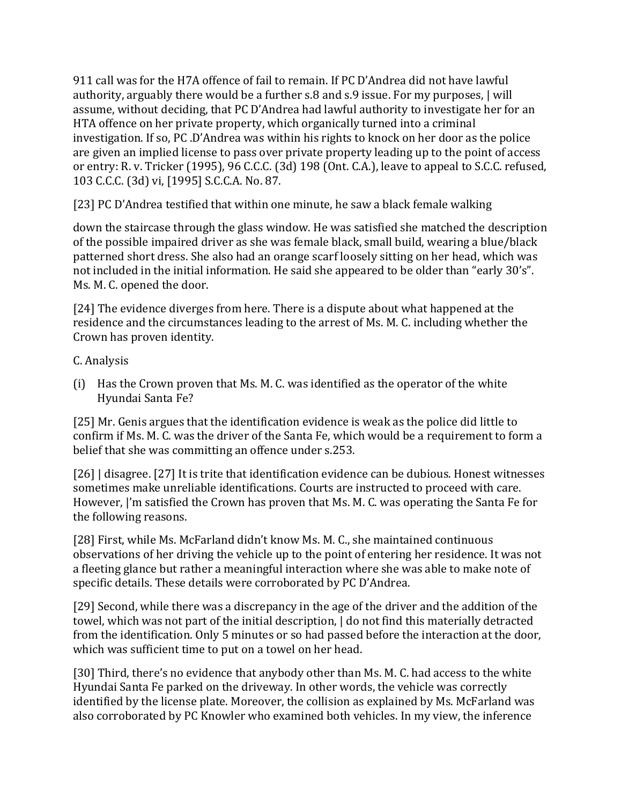911 call was for the H7A offence of fail to remain. If PC D'Andrea did not have lawful authority, arguably there would be a further s.8 and s.9 issue. For my purposes, | will assume, without deciding, that PC D'Andrea had lawful authority to investigate her for an HTA offence on her private property, which organically turned into a criminal investigation. If so, PC .D'Andrea was within his rights to knock on her door as the police are given an implied license to pass over private property leading up to the point of access or entry: R. v. Tricker (1995), 96 C.C.C. (3d) 198 (Ont. C.A.), leave to appeal to S.C.C. refused, 103 C.C.C. (3d) vi, [1995] S.C.C.A. No. 87.

[23] PC D'Andrea testified that within one minute, he saw a black female walking

down the staircase through the glass window. He was satisfied she matched the description of the possible impaired driver as she was female black, small build, wearing a blue/black patterned short dress. She also had an orange scarf loosely sitting on her head, which was not included in the initial information. He said she appeared to be older than "early 30's". Ms. M. C. opened the door.

[24] The evidence diverges from here. There is a dispute about what happened at the residence and the circumstances leading to the arrest of Ms. M. C. including whether the Crown has proven identity.

# C. Analysis

(i) Has the Crown proven that Ms. M. C. was identified as the operator of the white Hyundai Santa Fe?

[25] Mr. Genis argues that the identification evidence is weak as the police did little to confirm if Ms. M. C. was the driver of the Santa Fe, which would be a requirement to form a belief that she was committing an offence under s.253.

[26] | disagree. [27] It is trite that identification evidence can be dubious. Honest witnesses sometimes make unreliable identifications. Courts are instructed to proceed with care. However, |'m satisfied the Crown has proven that Ms. M. C. was operating the Santa Fe for the following reasons.

[28] First, while Ms. McFarland didn't know Ms. M. C., she maintained continuous observations of her driving the vehicle up to the point of entering her residence. It was not a fleeting glance but rather a meaningful interaction where she was able to make note of specific details. These details were corroborated by PC D'Andrea.

[29] Second, while there was a discrepancy in the age of the driver and the addition of the towel, which was not part of the initial description, | do not find this materially detracted from the identification. Only 5 minutes or so had passed before the interaction at the door, which was sufficient time to put on a towel on her head.

[30] Third, there's no evidence that anybody other than Ms. M. C. had access to the white Hyundai Santa Fe parked on the driveway. In other words, the vehicle was correctly identified by the license plate. Moreover, the collision as explained by Ms. McFarland was also corroborated by PC Knowler who examined both vehicles. In my view, the inference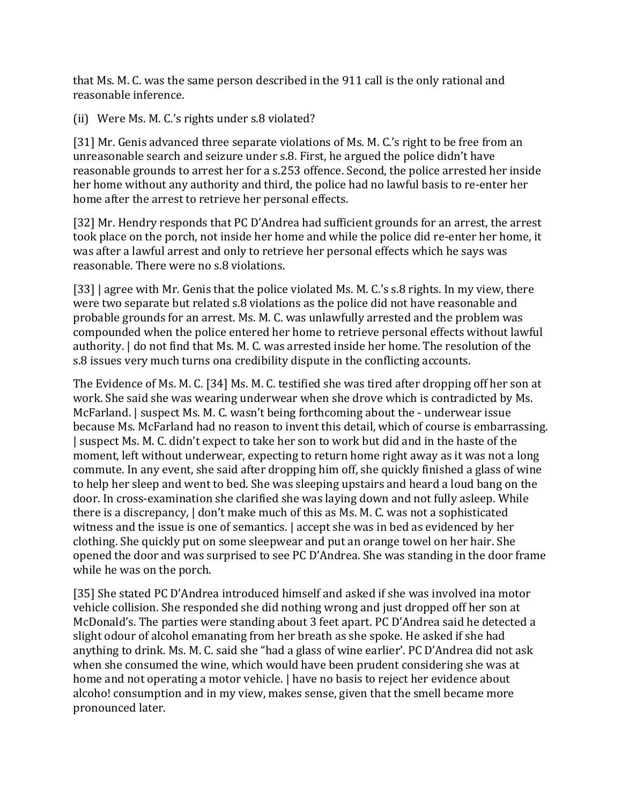that Ms. M. C. was the same person described in the 911 call is the only rational and reasonable inference.

(ii) Were Ms. M. C.'s rights under s.8 violated?

[31] Mr. Genis advanced three separate violations of Ms. M. C.'s right to be free from an unreasonable search and seizure under s.8. First, he argued the police didn't have reasonable grounds to arrest her for a s.253 offence. Second, the police arrested her inside her home without any authority and third, the police had no lawful basis to re-enter her home after the arrest to retrieve her personal effects.

[32] Mr. Hendry responds that PC D'Andrea had sufficient grounds for an arrest, the arrest took place on the porch, not inside her home and while the police did re-enter her home, it was after a lawful arrest and only to retrieve her personal effects which he says was reasonable. There were no s.8 violations.

[33] | agree with Mr. Genis that the police violated Ms. M. C.'s s.8 rights. In my view, there were two separate but related s.8 violations as the police did not have reasonable and probable grounds for an arrest. Ms. M. C. was unlawfully arrested and the problem was compounded when the police entered her home to retrieve personal effects without lawful authority. | do not find that Ms. M. C. was arrested inside her home. The resolution of the s.8 issues very much turns ona credibility dispute in the conflicting accounts.

The Evidence of Ms. M. C. [34] Ms. M. C. testified she was tired after dropping off her son at work. She said she was wearing underwear when she drove which is contradicted by Ms. McFarland. | suspect Ms. M. C. wasn't being forthcoming about the - underwear issue because Ms. McFarland had no reason to invent this detail, which of course is embarrassing. | suspect Ms. M. C. didn't expect to take her son to work but did and in the haste of the moment, left without underwear, expecting to return home right away as it was not a long commute. In any event, she said after dropping him off, she quickly finished a glass of wine to help her sleep and went to bed. She was sleeping upstairs and heard a loud bang on the door. In cross-examination she clarified she was laying down and not fully asleep. While there is a discrepancy, | don't make much of this as Ms. M. C. was not a sophisticated witness and the issue is one of semantics. | accept she was in bed as evidenced by her clothing. She quickly put on some sleepwear and put an orange towel on her hair. She opened the door and was surprised to see PC D'Andrea. She was standing in the door frame while he was on the porch.

[35] She stated PC D'Andrea introduced himself and asked if she was involved ina motor vehicle collision. She responded she did nothing wrong and just dropped off her son at McDonald's. The parties were standing about 3 feet apart. PC D'Andrea said he detected a slight odour of alcohol emanating from her breath as she spoke. He asked if she had anything to drink. Ms. M. C. said she "had a glass of wine earlier'. PC D'Andrea did not ask when she consumed the wine, which would have been prudent considering she was at home and not operating a motor vehicle.  $\vert$  have no basis to reject her evidence about alcoho! consumption and in my view, makes sense, given that the smell became more pronounced later.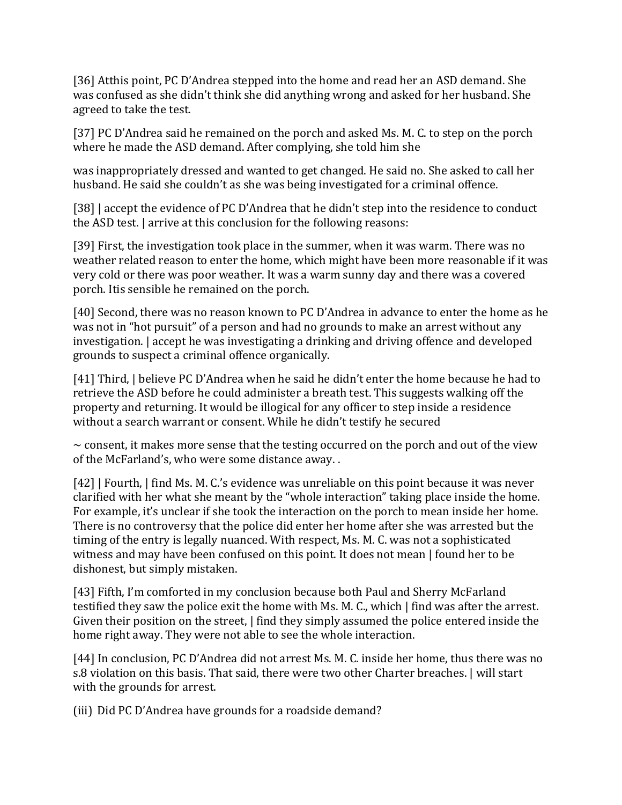[36] Atthis point, PC D'Andrea stepped into the home and read her an ASD demand. She was confused as she didn't think she did anything wrong and asked for her husband. She agreed to take the test.

[37] PC D'Andrea said he remained on the porch and asked Ms. M. C. to step on the porch where he made the ASD demand. After complying, she told him she

was inappropriately dressed and wanted to get changed. He said no. She asked to call her husband. He said she couldn't as she was being investigated for a criminal offence.

[38] accept the evidence of PC D'Andrea that he didn't step into the residence to conduct the ASD test. | arrive at this conclusion for the following reasons:

[39] First, the investigation took place in the summer, when it was warm. There was no weather related reason to enter the home, which might have been more reasonable if it was very cold or there was poor weather. It was a warm sunny day and there was a covered porch. Itis sensible he remained on the porch.

[40] Second, there was no reason known to PC D'Andrea in advance to enter the home as he was not in "hot pursuit" of a person and had no grounds to make an arrest without any investigation. | accept he was investigating a drinking and driving offence and developed grounds to suspect a criminal offence organically.

[41] Third, | believe PC D'Andrea when he said he didn't enter the home because he had to retrieve the ASD before he could administer a breath test. This suggests walking off the property and returning. It would be illogical for any officer to step inside a residence without a search warrant or consent. While he didn't testify he secured

 $\sim$  consent, it makes more sense that the testing occurred on the porch and out of the view of the McFarland's, who were some distance away. .

[42] | Fourth, | find Ms. M. C.'s evidence was unreliable on this point because it was never clarified with her what she meant by the "whole interaction" taking place inside the home. For example, it's unclear if she took the interaction on the porch to mean inside her home. There is no controversy that the police did enter her home after she was arrested but the timing of the entry is legally nuanced. With respect, Ms. M. C. was not a sophisticated witness and may have been confused on this point. It does not mean | found her to be dishonest, but simply mistaken.

[43] Fifth, I'm comforted in my conclusion because both Paul and Sherry McFarland testified they saw the police exit the home with Ms. M. C., which | find was after the arrest. Given their position on the street,  $\vert$  find they simply assumed the police entered inside the home right away. They were not able to see the whole interaction.

[44] In conclusion, PC D'Andrea did not arrest Ms. M. C. inside her home, thus there was no s.8 violation on this basis. That said, there were two other Charter breaches. | will start with the grounds for arrest.

(iii) Did PC D'Andrea have grounds for a roadside demand?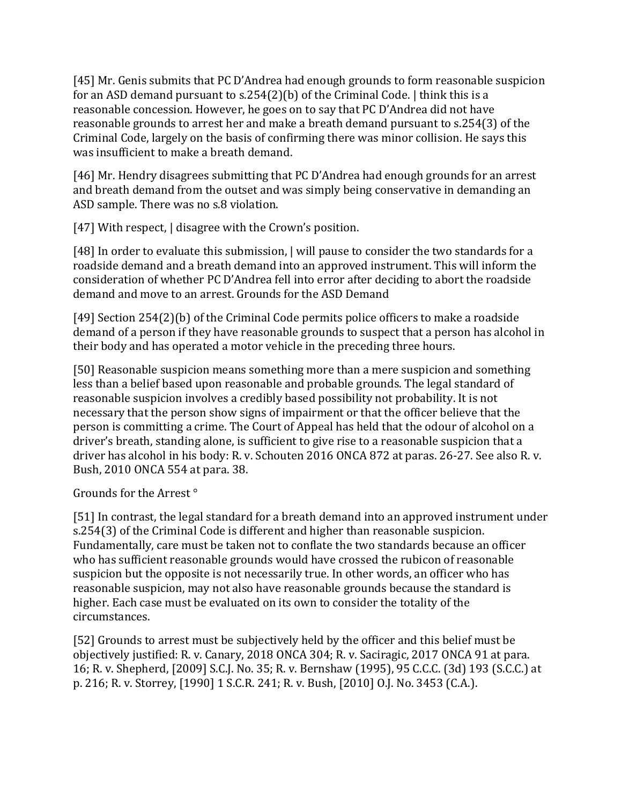[45] Mr. Genis submits that PC D'Andrea had enough grounds to form reasonable suspicion for an ASD demand pursuant to s.254(2)(b) of the Criminal Code. | think this is a reasonable concession. However, he goes on to say that PC D'Andrea did not have reasonable grounds to arrest her and make a breath demand pursuant to s.254(3) of the Criminal Code, largely on the basis of confirming there was minor collision. He says this was insufficient to make a breath demand.

[46] Mr. Hendry disagrees submitting that PC D'Andrea had enough grounds for an arrest and breath demand from the outset and was simply being conservative in demanding an ASD sample. There was no s.8 violation.

[47] With respect,  $\vert$  disagree with the Crown's position.

[48] In order to evaluate this submission, | will pause to consider the two standards for a roadside demand and a breath demand into an approved instrument. This will inform the consideration of whether PC D'Andrea fell into error after deciding to abort the roadside demand and move to an arrest. Grounds for the ASD Demand

[49] Section 254(2)(b) of the Criminal Code permits police officers to make a roadside demand of a person if they have reasonable grounds to suspect that a person has alcohol in their body and has operated a motor vehicle in the preceding three hours.

[50] Reasonable suspicion means something more than a mere suspicion and something less than a belief based upon reasonable and probable grounds. The legal standard of reasonable suspicion involves a credibly based possibility not probability. It is not necessary that the person show signs of impairment or that the officer believe that the person is committing a crime. The Court of Appeal has held that the odour of alcohol on a driver's breath, standing alone, is sufficient to give rise to a reasonable suspicion that a driver has alcohol in his body: R. v. Schouten 2016 ONCA 872 at paras. 26-27. See also R. v. Bush, 2010 ONCA 554 at para. 38.

Grounds for the Arrest °

[51] In contrast, the legal standard for a breath demand into an approved instrument under s.254(3) of the Criminal Code is different and higher than reasonable suspicion. Fundamentally, care must be taken not to conflate the two standards because an officer who has sufficient reasonable grounds would have crossed the rubicon of reasonable suspicion but the opposite is not necessarily true. In other words, an officer who has reasonable suspicion, may not also have reasonable grounds because the standard is higher. Each case must be evaluated on its own to consider the totality of the circumstances.

[52] Grounds to arrest must be subjectively held by the officer and this belief must be objectively justified: R. v. Canary, 2018 ONCA 304; R. v. Saciragic, 2017 ONCA 91 at para. 16; R. v. Shepherd, [2009] S.C.J. No. 35; R. v. Bernshaw (1995), 95 C.C.C. (3d) 193 (S.C.C.) at p. 216; R. v. Storrey, [1990] 1 S.C.R. 241; R. v. Bush, [2010] O.J. No. 3453 (C.A.).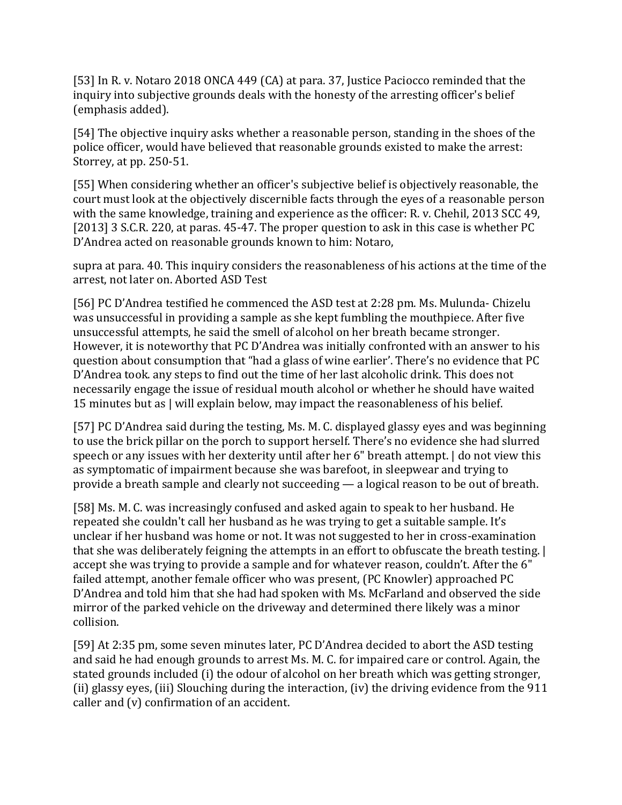[53] In R. v. Notaro 2018 ONCA 449 (CA) at para. 37, Justice Paciocco reminded that the inquiry into subjective grounds deals with the honesty of the arresting officer's belief (emphasis added).

[54] The objective inquiry asks whether a reasonable person, standing in the shoes of the police officer, would have believed that reasonable grounds existed to make the arrest: Storrey, at pp. 250-51.

[55] When considering whether an officer's subjective belief is objectively reasonable, the court must look at the objectively discernible facts through the eyes of a reasonable person with the same knowledge, training and experience as the officer: R. v. Chehil, 2013 SCC 49, [2013] 3 S.C.R. 220, at paras. 45-47. The proper question to ask in this case is whether PC D'Andrea acted on reasonable grounds known to him: Notaro,

supra at para. 40. This inquiry considers the reasonableness of his actions at the time of the arrest, not later on. Aborted ASD Test

[56] PC D'Andrea testified he commenced the ASD test at 2:28 pm. Ms. Mulunda- Chizelu was unsuccessful in providing a sample as she kept fumbling the mouthpiece. After five unsuccessful attempts, he said the smell of alcohol on her breath became stronger. However, it is noteworthy that PC D'Andrea was initially confronted with an answer to his question about consumption that "had a glass of wine earlier'. There's no evidence that PC D'Andrea took. any steps to find out the time of her last alcoholic drink. This does not necessarily engage the issue of residual mouth alcohol or whether he should have waited 15 minutes but as | will explain below, may impact the reasonableness of his belief.

[57] PC D'Andrea said during the testing, Ms. M. C. displayed glassy eyes and was beginning to use the brick pillar on the porch to support herself. There's no evidence she had slurred speech or any issues with her dexterity until after her 6" breath attempt. | do not view this as symptomatic of impairment because she was barefoot, in sleepwear and trying to provide a breath sample and clearly not succeeding — a logical reason to be out of breath.

[58] Ms. M. C. was increasingly confused and asked again to speak to her husband. He repeated she couldn't call her husband as he was trying to get a suitable sample. It's unclear if her husband was home or not. It was not suggested to her in cross-examination that she was deliberately feigning the attempts in an effort to obfuscate the breath testing. | accept she was trying to provide a sample and for whatever reason, couldn't. After the 6" failed attempt, another female officer who was present, (PC Knowler) approached PC D'Andrea and told him that she had had spoken with Ms. McFarland and observed the side mirror of the parked vehicle on the driveway and determined there likely was a minor collision.

[59] At 2:35 pm, some seven minutes later, PC D'Andrea decided to abort the ASD testing and said he had enough grounds to arrest Ms. M. C. for impaired care or control. Again, the stated grounds included (i) the odour of alcohol on her breath which was getting stronger, (ii) glassy eyes, (iii) Slouching during the interaction, (iv) the driving evidence from the 911 caller and (v) confirmation of an accident.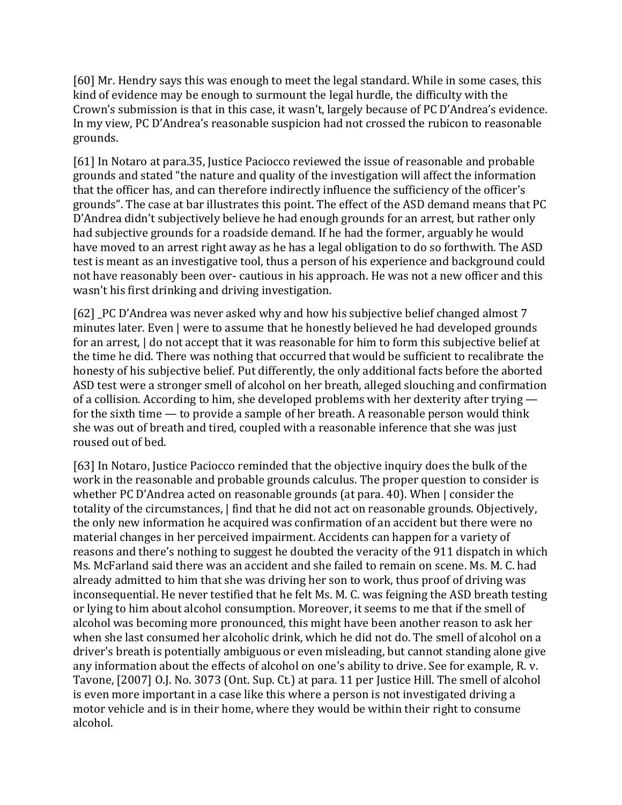[60] Mr. Hendry says this was enough to meet the legal standard. While in some cases, this kind of evidence may be enough to surmount the legal hurdle, the difficulty with the Crown's submission is that in this case, it wasn't, largely because of PC D'Andrea's evidence. In my view, PC D'Andrea's reasonable suspicion had not crossed the rubicon to reasonable grounds.

[61] In Notaro at para.35, Justice Paciocco reviewed the issue of reasonable and probable grounds and stated "the nature and quality of the investigation will affect the information that the officer has, and can therefore indirectly influence the sufficiency of the officer's grounds". The case at bar illustrates this point. The effect of the ASD demand means that PC D'Andrea didn't subjectively believe he had enough grounds for an arrest, but rather only had subjective grounds for a roadside demand. If he had the former, arguably he would have moved to an arrest right away as he has a legal obligation to do so forthwith. The ASD test is meant as an investigative tool, thus a person of his experience and background could not have reasonably been over- cautious in his approach. He was not a new officer and this wasn't his first drinking and driving investigation.

[62] \_PC D'Andrea was never asked why and how his subjective belief changed almost 7 minutes later. Even | were to assume that he honestly believed he had developed grounds for an arrest, | do not accept that it was reasonable for him to form this subjective belief at the time he did. There was nothing that occurred that would be sufficient to recalibrate the honesty of his subjective belief. Put differently, the only additional facts before the aborted ASD test were a stronger smell of alcohol on her breath, alleged slouching and confirmation of a collision. According to him, she developed problems with her dexterity after trying for the sixth time — to provide a sample of her breath. A reasonable person would think she was out of breath and tired, coupled with a reasonable inference that she was just roused out of bed.

[63] In Notaro, Justice Paciocco reminded that the objective inquiry does the bulk of the work in the reasonable and probable grounds calculus. The proper question to consider is whether PC D'Andrea acted on reasonable grounds (at para. 40). When | consider the totality of the circumstances, | find that he did not act on reasonable grounds. Objectively, the only new information he acquired was confirmation of an accident but there were no material changes in her perceived impairment. Accidents can happen for a variety of reasons and there's nothing to suggest he doubted the veracity of the 911 dispatch in which Ms. McFarland said there was an accident and she failed to remain on scene. Ms. M. C. had already admitted to him that she was driving her son to work, thus proof of driving was inconsequential. He never testified that he felt Ms. M. C. was feigning the ASD breath testing or lying to him about alcohol consumption. Moreover, it seems to me that if the smell of alcohol was becoming more pronounced, this might have been another reason to ask her when she last consumed her alcoholic drink, which he did not do. The smell of alcohol on a driver's breath is potentially ambiguous or even misleading, but cannot standing alone give any information about the effects of alcohol on one's ability to drive. See for example, R. v. Tavone, [2007] O.J. No. 3073 (Ont. Sup. Ct.) at para. 11 per Justice Hill. The smell of alcohol is even more important in a case like this where a person is not investigated driving a motor vehicle and is in their home, where they would be within their right to consume alcohol.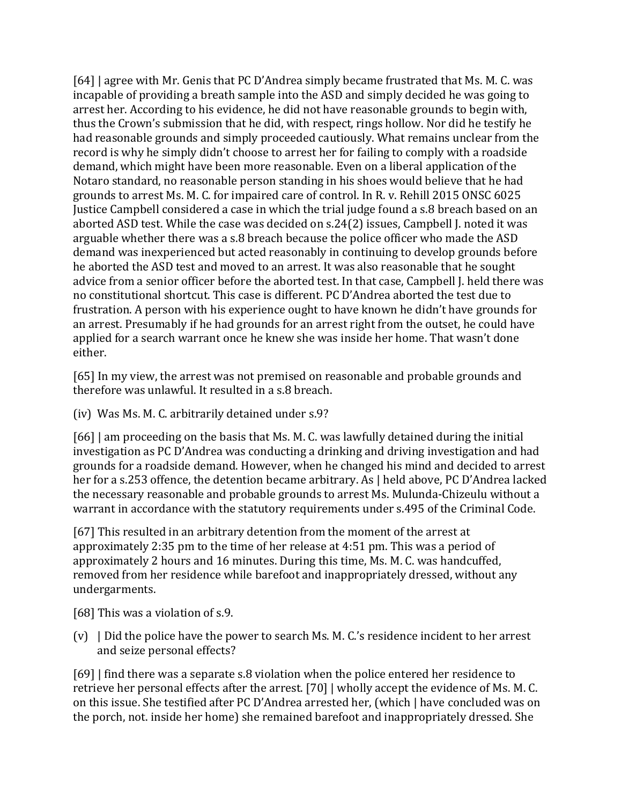[64] | agree with Mr. Genis that PC D'Andrea simply became frustrated that Ms. M. C. was incapable of providing a breath sample into the ASD and simply decided he was going to arrest her. According to his evidence, he did not have reasonable grounds to begin with, thus the Crown's submission that he did, with respect, rings hollow. Nor did he testify he had reasonable grounds and simply proceeded cautiously. What remains unclear from the record is why he simply didn't choose to arrest her for failing to comply with a roadside demand, which might have been more reasonable. Even on a liberal application of the Notaro standard, no reasonable person standing in his shoes would believe that he had grounds to arrest Ms. M. C. for impaired care of control. In R. v. Rehill 2015 ONSC 6025 Justice Campbell considered a case in which the trial judge found a s.8 breach based on an aborted ASD test. While the case was decided on s.24(2) issues, Campbell J. noted it was arguable whether there was a s.8 breach because the police officer who made the ASD demand was inexperienced but acted reasonably in continuing to develop grounds before he aborted the ASD test and moved to an arrest. It was also reasonable that he sought advice from a senior officer before the aborted test. In that case, Campbell J. held there was no constitutional shortcut. This case is different. PC D'Andrea aborted the test due to frustration. A person with his experience ought to have known he didn't have grounds for an arrest. Presumably if he had grounds for an arrest right from the outset, he could have applied for a search warrant once he knew she was inside her home. That wasn't done either.

[65] In my view, the arrest was not premised on reasonable and probable grounds and therefore was unlawful. It resulted in a s.8 breach.

(iv) Was Ms. M. C. arbitrarily detained under s.9?

[66] | am proceeding on the basis that Ms. M. C. was lawfully detained during the initial investigation as PC D'Andrea was conducting a drinking and driving investigation and had grounds for a roadside demand. However, when he changed his mind and decided to arrest her for a s.253 offence, the detention became arbitrary. As | held above, PC D'Andrea lacked the necessary reasonable and probable grounds to arrest Ms. Mulunda-Chizeulu without a warrant in accordance with the statutory requirements under s.495 of the Criminal Code.

[67] This resulted in an arbitrary detention from the moment of the arrest at approximately 2:35 pm to the time of her release at 4:51 pm. This was a period of approximately 2 hours and 16 minutes. During this time, Ms. M. C. was handcuffed, removed from her residence while barefoot and inappropriately dressed, without any undergarments.

[68] This was a violation of s.9.

(v) | Did the police have the power to search Ms. M. C.'s residence incident to her arrest and seize personal effects?

[69] | find there was a separate s.8 violation when the police entered her residence to retrieve her personal effects after the arrest. [70] | wholly accept the evidence of Ms. M. C. on this issue. She testified after PC D'Andrea arrested her, (which | have concluded was on the porch, not. inside her home) she remained barefoot and inappropriately dressed. She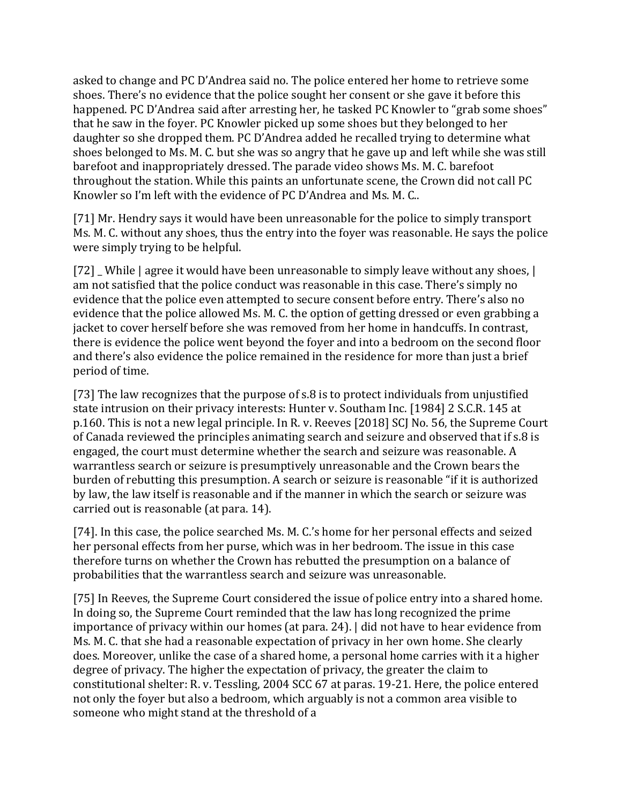asked to change and PC D'Andrea said no. The police entered her home to retrieve some shoes. There's no evidence that the police sought her consent or she gave it before this happened. PC D'Andrea said after arresting her, he tasked PC Knowler to "grab some shoes" that he saw in the foyer. PC Knowler picked up some shoes but they belonged to her daughter so she dropped them. PC D'Andrea added he recalled trying to determine what shoes belonged to Ms. M. C. but she was so angry that he gave up and left while she was still barefoot and inappropriately dressed. The parade video shows Ms. M. C. barefoot throughout the station. While this paints an unfortunate scene, the Crown did not call PC Knowler so I'm left with the evidence of PC D'Andrea and Ms. M. C..

[71] Mr. Hendry says it would have been unreasonable for the police to simply transport Ms. M. C. without any shoes, thus the entry into the foyer was reasonable. He says the police were simply trying to be helpful.

[72] While | agree it would have been unreasonable to simply leave without any shoes,  $\vert$ am not satisfied that the police conduct was reasonable in this case. There's simply no evidence that the police even attempted to secure consent before entry. There's also no evidence that the police allowed Ms. M. C. the option of getting dressed or even grabbing a jacket to cover herself before she was removed from her home in handcuffs. In contrast, there is evidence the police went beyond the foyer and into a bedroom on the second floor and there's also evidence the police remained in the residence for more than just a brief period of time.

[73] The law recognizes that the purpose of s.8 is to protect individuals from unjustified state intrusion on their privacy interests: Hunter v. Southam Inc. [1984] 2 S.C.R. 145 at p.160. This is not a new legal principle. In R. v. Reeves [2018] SCJ No. 56, the Supreme Court of Canada reviewed the principles animating search and seizure and observed that if s.8 is engaged, the court must determine whether the search and seizure was reasonable. A warrantless search or seizure is presumptively unreasonable and the Crown bears the burden of rebutting this presumption. A search or seizure is reasonable "if it is authorized by law, the law itself is reasonable and if the manner in which the search or seizure was carried out is reasonable (at para. 14).

[74]. In this case, the police searched Ms. M. C.'s home for her personal effects and seized her personal effects from her purse, which was in her bedroom. The issue in this case therefore turns on whether the Crown has rebutted the presumption on a balance of probabilities that the warrantless search and seizure was unreasonable.

[75] In Reeves, the Supreme Court considered the issue of police entry into a shared home. In doing so, the Supreme Court reminded that the law has long recognized the prime importance of privacy within our homes (at para. 24). | did not have to hear evidence from Ms. M. C. that she had a reasonable expectation of privacy in her own home. She clearly does. Moreover, unlike the case of a shared home, a personal home carries with it a higher degree of privacy. The higher the expectation of privacy, the greater the claim to constitutional shelter: R. v. Tessling, 2004 SCC 67 at paras. 19-21. Here, the police entered not only the foyer but also a bedroom, which arguably is not a common area visible to someone who might stand at the threshold of a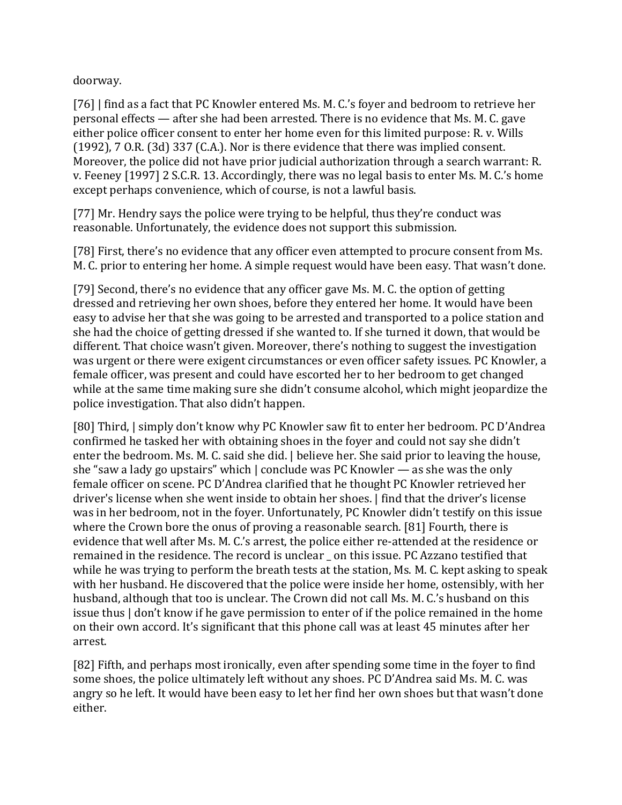doorway.

[76] | find as a fact that PC Knowler entered Ms. M. C.'s foyer and bedroom to retrieve her personal effects — after she had been arrested. There is no evidence that Ms. M. C. gave either police officer consent to enter her home even for this limited purpose: R. v. Wills (1992), 7 O.R. (3d) 337 (C.A.). Nor is there evidence that there was implied consent. Moreover, the police did not have prior judicial authorization through a search warrant: R. v. Feeney [1997] 2 S.C.R. 13. Accordingly, there was no legal basis to enter Ms. M. C.'s home except perhaps convenience, which of course, is not a lawful basis.

[77] Mr. Hendry says the police were trying to be helpful, thus they're conduct was reasonable. Unfortunately, the evidence does not support this submission.

[78] First, there's no evidence that any officer even attempted to procure consent from Ms. M. C. prior to entering her home. A simple request would have been easy. That wasn't done.

[79] Second, there's no evidence that any officer gave Ms. M. C. the option of getting dressed and retrieving her own shoes, before they entered her home. It would have been easy to advise her that she was going to be arrested and transported to a police station and she had the choice of getting dressed if she wanted to. If she turned it down, that would be different. That choice wasn't given. Moreover, there's nothing to suggest the investigation was urgent or there were exigent circumstances or even officer safety issues. PC Knowler, a female officer, was present and could have escorted her to her bedroom to get changed while at the same time making sure she didn't consume alcohol, which might jeopardize the police investigation. That also didn't happen.

[80] Third, | simply don't know why PC Knowler saw fit to enter her bedroom. PC D'Andrea confirmed he tasked her with obtaining shoes in the foyer and could not say she didn't enter the bedroom. Ms. M. C. said she did. | believe her. She said prior to leaving the house, she "saw a lady go upstairs" which | conclude was PC Knowler — as she was the only female officer on scene. PC D'Andrea clarified that he thought PC Knowler retrieved her driver's license when she went inside to obtain her shoes. | find that the driver's license was in her bedroom, not in the foyer. Unfortunately, PC Knowler didn't testify on this issue where the Crown bore the onus of proving a reasonable search. [81] Fourth, there is evidence that well after Ms. M. C.'s arrest, the police either re-attended at the residence or remained in the residence. The record is unclear on this issue. PC Azzano testified that while he was trying to perform the breath tests at the station, Ms. M. C. kept asking to speak with her husband. He discovered that the police were inside her home, ostensibly, with her husband, although that too is unclear. The Crown did not call Ms. M. C.'s husband on this issue thus | don't know if he gave permission to enter of if the police remained in the home on their own accord. It's significant that this phone call was at least 45 minutes after her arrest.

[82] Fifth, and perhaps most ironically, even after spending some time in the foyer to find some shoes, the police ultimately left without any shoes. PC D'Andrea said Ms. M. C. was angry so he left. It would have been easy to let her find her own shoes but that wasn't done either.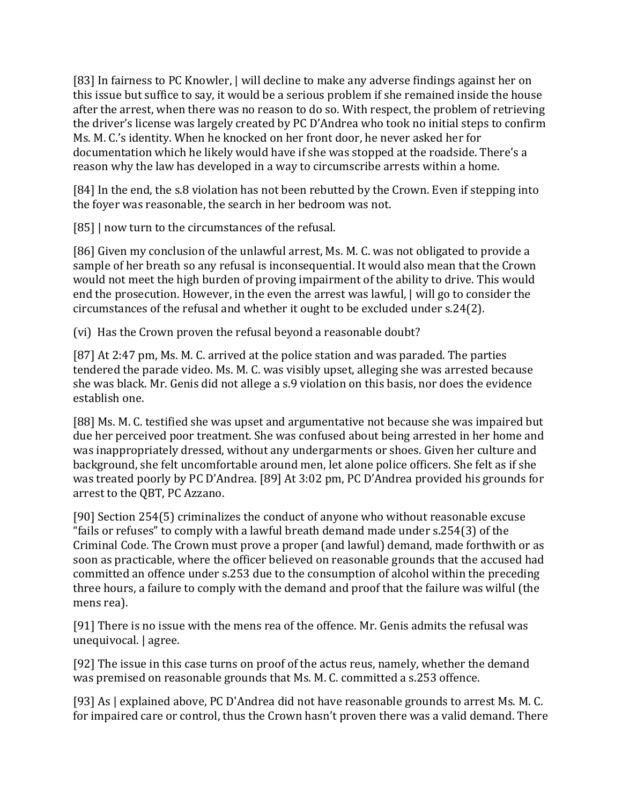[83] In fairness to PC Knowler, | will decline to make any adverse findings against her on this issue but suffice to say, it would be a serious problem if she remained inside the house after the arrest, when there was no reason to do so. With respect, the problem of retrieving the driver's license was largely created by PC D'Andrea who took no initial steps to confirm Ms. M. C.'s identity. When he knocked on her front door, he never asked her for documentation which he likely would have if she was stopped at the roadside. There's a reason why the law has developed in a way to circumscribe arrests within a home.

[84] In the end, the s.8 violation has not been rebutted by the Crown. Even if stepping into the foyer was reasonable, the search in her bedroom was not.

[85] | now turn to the circumstances of the refusal.

[86] Given my conclusion of the unlawful arrest, Ms. M. C. was not obligated to provide a sample of her breath so any refusal is inconsequential. It would also mean that the Crown would not meet the high burden of proving impairment of the ability to drive. This would end the prosecution. However, in the even the arrest was lawful, | will go to consider the circumstances of the refusal and whether it ought to be excluded under s.24(2).

(vi) Has the Crown proven the refusal beyond a reasonable doubt?

[87] At 2:47 pm, Ms. M. C. arrived at the police station and was paraded. The parties tendered the parade video. Ms. M. C. was visibly upset, alleging she was arrested because she was black. Mr. Genis did not allege a s.9 violation on this basis, nor does the evidence establish one.

[88] Ms. M. C. testified she was upset and argumentative not because she was impaired but due her perceived poor treatment. She was confused about being arrested in her home and was inappropriately dressed, without any undergarments or shoes. Given her culture and background, she felt uncomfortable around men, let alone police officers. She felt as if she was treated poorly by PC D'Andrea. [89] At 3:02 pm, PC D'Andrea provided his grounds for arrest to the QBT, PC Azzano.

[90] Section 254(5) criminalizes the conduct of anyone who without reasonable excuse "fails or refuses" to comply with a lawful breath demand made under s.254(3) of the Criminal Code. The Crown must prove a proper (and lawful) demand, made forthwith or as soon as practicable, where the officer believed on reasonable grounds that the accused had committed an offence under s.253 due to the consumption of alcohol within the preceding three hours, a failure to comply with the demand and proof that the failure was wilful (the mens rea).

[91] There is no issue with the mens rea of the offence. Mr. Genis admits the refusal was unequivocal. | agree.

[92] The issue in this case turns on proof of the actus reus, namely, whether the demand was premised on reasonable grounds that Ms. M. C. committed a s.253 offence.

[93] As | explained above, PC D'Andrea did not have reasonable grounds to arrest Ms. M. C. for impaired care or control, thus the Crown hasn't proven there was a valid demand. There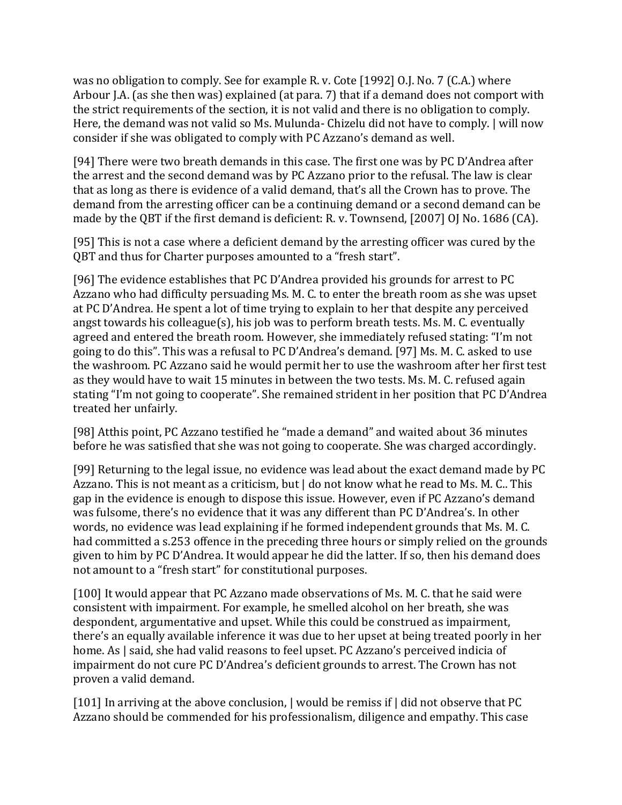was no obligation to comply. See for example R. v. Cote [1992] O.J. No. 7 (C.A.) where Arbour J.A. (as she then was) explained (at para. 7) that if a demand does not comport with the strict requirements of the section, it is not valid and there is no obligation to comply. Here, the demand was not valid so Ms. Mulunda- Chizelu did not have to comply. | will now consider if she was obligated to comply with PC Azzano's demand as well.

[94] There were two breath demands in this case. The first one was by PC D'Andrea after the arrest and the second demand was by PC Azzano prior to the refusal. The law is clear that as long as there is evidence of a valid demand, that's all the Crown has to prove. The demand from the arresting officer can be a continuing demand or a second demand can be made by the QBT if the first demand is deficient: R. v. Townsend, [2007] OJ No. 1686 (CA).

[95] This is not a case where a deficient demand by the arresting officer was cured by the QBT and thus for Charter purposes amounted to a "fresh start".

[96] The evidence establishes that PC D'Andrea provided his grounds for arrest to PC Azzano who had difficulty persuading Ms. M. C. to enter the breath room as she was upset at PC D'Andrea. He spent a lot of time trying to explain to her that despite any perceived angst towards his colleague(s), his job was to perform breath tests. Ms. M. C. eventually agreed and entered the breath room. However, she immediately refused stating: "I'm not going to do this". This was a refusal to PC D'Andrea's demand. [97] Ms. M. C. asked to use the washroom. PC Azzano said he would permit her to use the washroom after her first test as they would have to wait 15 minutes in between the two tests. Ms. M. C. refused again stating "I'm not going to cooperate". She remained strident in her position that PC D'Andrea treated her unfairly.

[98] Atthis point, PC Azzano testified he "made a demand" and waited about 36 minutes before he was satisfied that she was not going to cooperate. She was charged accordingly.

[99] Returning to the legal issue, no evidence was lead about the exact demand made by PC Azzano. This is not meant as a criticism, but | do not know what he read to Ms. M. C.. This gap in the evidence is enough to dispose this issue. However, even if PC Azzano's demand was fulsome, there's no evidence that it was any different than PC D'Andrea's. In other words, no evidence was lead explaining if he formed independent grounds that Ms. M. C. had committed a s.253 offence in the preceding three hours or simply relied on the grounds given to him by PC D'Andrea. It would appear he did the latter. If so, then his demand does not amount to a "fresh start" for constitutional purposes.

[100] It would appear that PC Azzano made observations of Ms. M. C. that he said were consistent with impairment. For example, he smelled alcohol on her breath, she was despondent, argumentative and upset. While this could be construed as impairment, there's an equally available inference it was due to her upset at being treated poorly in her home. As  $|$  said, she had valid reasons to feel upset. PC Azzano's perceived indicia of impairment do not cure PC D'Andrea's deficient grounds to arrest. The Crown has not proven a valid demand.

[101] In arriving at the above conclusion, | would be remiss if | did not observe that PC Azzano should be commended for his professionalism, diligence and empathy. This case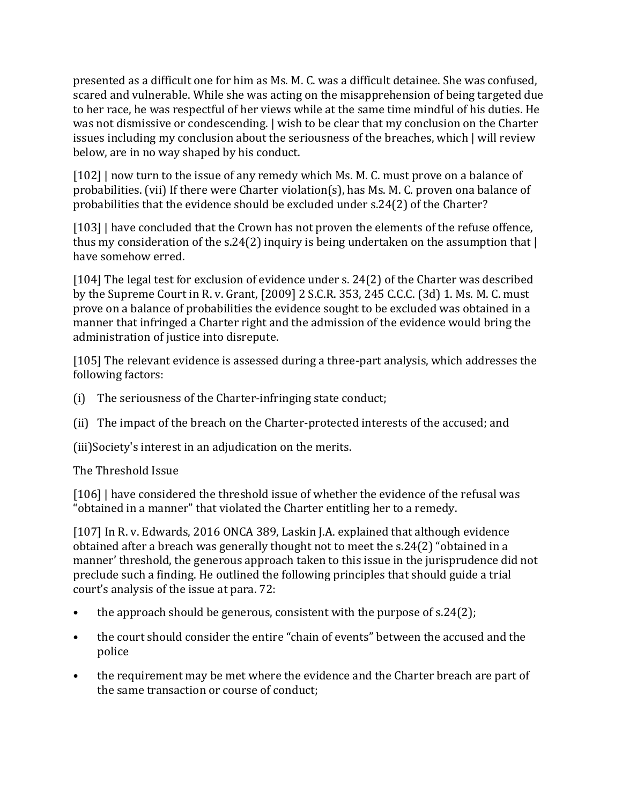presented as a difficult one for him as Ms. M. C. was a difficult detainee. She was confused, scared and vulnerable. While she was acting on the misapprehension of being targeted due to her race, he was respectful of her views while at the same time mindful of his duties. He was not dismissive or condescending. | wish to be clear that my conclusion on the Charter issues including my conclusion about the seriousness of the breaches, which | will review below, are in no way shaped by his conduct.

[102] | now turn to the issue of any remedy which Ms. M. C. must prove on a balance of probabilities. (vii) If there were Charter violation(s), has Ms. M. C. proven ona balance of probabilities that the evidence should be excluded under s.24(2) of the Charter?

[103] | have concluded that the Crown has not proven the elements of the refuse offence, thus my consideration of the s.24(2) inquiry is being undertaken on the assumption that | have somehow erred.

[104] The legal test for exclusion of evidence under s. 24(2) of the Charter was described by the Supreme Court in R. v. Grant, [2009] 2 S.C.R. 353, 245 C.C.C. (3d) 1. Ms. M. C. must prove on a balance of probabilities the evidence sought to be excluded was obtained in a manner that infringed a Charter right and the admission of the evidence would bring the administration of justice into disrepute.

[105] The relevant evidence is assessed during a three-part analysis, which addresses the following factors:

- (i) The seriousness of the Charter-infringing state conduct;
- (ii) The impact of the breach on the Charter-protected interests of the accused; and

(iii)Society's interest in an adjudication on the merits.

The Threshold Issue

[106] | have considered the threshold issue of whether the evidence of the refusal was "obtained in a manner" that violated the Charter entitling her to a remedy.

[107] In R. v. Edwards, 2016 ONCA 389, Laskin J.A. explained that although evidence obtained after a breach was generally thought not to meet the s.24(2) "obtained in a manner' threshold, the generous approach taken to this issue in the jurisprudence did not preclude such a finding. He outlined the following principles that should guide a trial court's analysis of the issue at para. 72:

- the approach should be generous, consistent with the purpose of s.24(2);
- the court should consider the entire "chain of events" between the accused and the police
- the requirement may be met where the evidence and the Charter breach are part of the same transaction or course of conduct;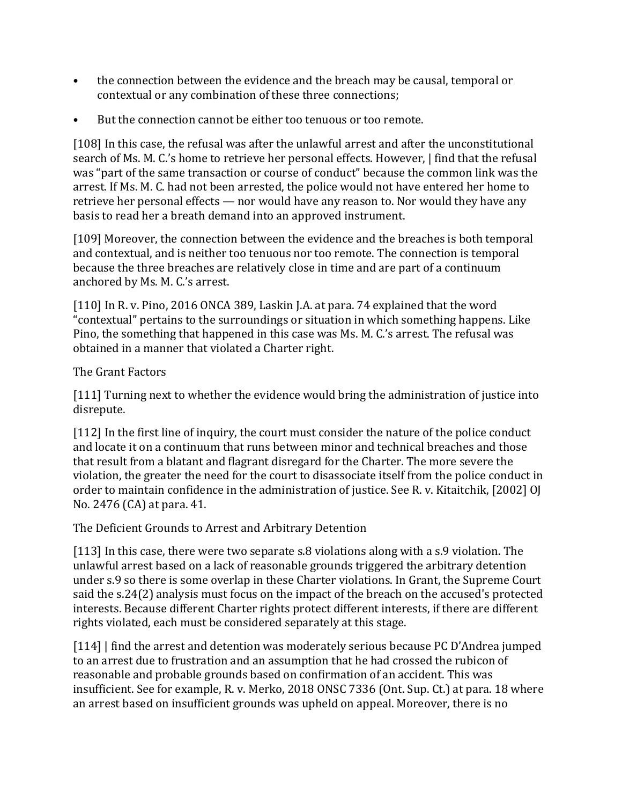- the connection between the evidence and the breach may be causal, temporal or contextual or any combination of these three connections;
- But the connection cannot be either too tenuous or too remote.

[108] In this case, the refusal was after the unlawful arrest and after the unconstitutional search of Ms. M. C.'s home to retrieve her personal effects. However, | find that the refusal was "part of the same transaction or course of conduct" because the common link was the arrest. If Ms. M. C. had not been arrested, the police would not have entered her home to retrieve her personal effects — nor would have any reason to. Nor would they have any basis to read her a breath demand into an approved instrument.

[109] Moreover, the connection between the evidence and the breaches is both temporal and contextual, and is neither too tenuous nor too remote. The connection is temporal because the three breaches are relatively close in time and are part of a continuum anchored by Ms. M. C.'s arrest.

[110] In R. v. Pino, 2016 ONCA 389, Laskin J.A. at para. 74 explained that the word "contextual" pertains to the surroundings or situation in which something happens. Like Pino, the something that happened in this case was Ms. M. C.'s arrest. The refusal was obtained in a manner that violated a Charter right.

The Grant Factors

[111] Turning next to whether the evidence would bring the administration of justice into disrepute.

[112] In the first line of inquiry, the court must consider the nature of the police conduct and locate it on a continuum that runs between minor and technical breaches and those that result from a blatant and flagrant disregard for the Charter. The more severe the violation, the greater the need for the court to disassociate itself from the police conduct in order to maintain confidence in the administration of justice. See R. v. Kitaitchik, [2002] OJ No. 2476 (CA) at para. 41.

The Deficient Grounds to Arrest and Arbitrary Detention

[113] In this case, there were two separate s.8 violations along with a s.9 violation. The unlawful arrest based on a lack of reasonable grounds triggered the arbitrary detention under s.9 so there is some overlap in these Charter violations. In Grant, the Supreme Court said the s.24(2) analysis must focus on the impact of the breach on the accused's protected interests. Because different Charter rights protect different interests, if there are different rights violated, each must be considered separately at this stage.

[114] | find the arrest and detention was moderately serious because PC D'Andrea jumped to an arrest due to frustration and an assumption that he had crossed the rubicon of reasonable and probable grounds based on confirmation of an accident. This was insufficient. See for example, R. v. Merko, 2018 ONSC 7336 (Ont. Sup. Ct.) at para. 18 where an arrest based on insufficient grounds was upheld on appeal. Moreover, there is no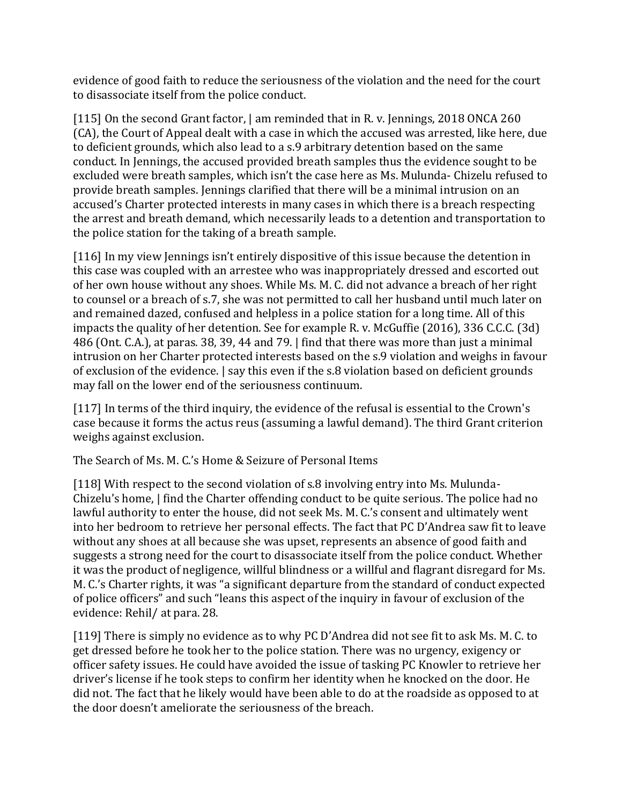evidence of good faith to reduce the seriousness of the violation and the need for the court to disassociate itself from the police conduct.

[115] On the second Grant factor, | am reminded that in R. v. Jennings, 2018 ONCA 260 (CA), the Court of Appeal dealt with a case in which the accused was arrested, like here, due to deficient grounds, which also lead to a s.9 arbitrary detention based on the same conduct. In Jennings, the accused provided breath samples thus the evidence sought to be excluded were breath samples, which isn't the case here as Ms. Mulunda- Chizelu refused to provide breath samples. Jennings clarified that there will be a minimal intrusion on an accused's Charter protected interests in many cases in which there is a breach respecting the arrest and breath demand, which necessarily leads to a detention and transportation to the police station for the taking of a breath sample.

[116] In my view Jennings isn't entirely dispositive of this issue because the detention in this case was coupled with an arrestee who was inappropriately dressed and escorted out of her own house without any shoes. While Ms. M. C. did not advance a breach of her right to counsel or a breach of s.7, she was not permitted to call her husband until much later on and remained dazed, confused and helpless in a police station for a long time. All of this impacts the quality of her detention. See for example R. v. McGuffie (2016), 336 C.C.C. (3d) 486 (Ont. C.A.), at paras. 38, 39, 44 and 79. | find that there was more than just a minimal intrusion on her Charter protected interests based on the s.9 violation and weighs in favour of exclusion of the evidence. | say this even if the s.8 violation based on deficient grounds may fall on the lower end of the seriousness continuum.

[117] In terms of the third inquiry, the evidence of the refusal is essential to the Crown's case because it forms the actus reus (assuming a lawful demand). The third Grant criterion weighs against exclusion.

The Search of Ms. M. C.'s Home & Seizure of Personal Items

[118] With respect to the second violation of s.8 involving entry into Ms. Mulunda-Chizelu's home, | find the Charter offending conduct to be quite serious. The police had no lawful authority to enter the house, did not seek Ms. M. C.'s consent and ultimately went into her bedroom to retrieve her personal effects. The fact that PC D'Andrea saw fit to leave without any shoes at all because she was upset, represents an absence of good faith and suggests a strong need for the court to disassociate itself from the police conduct. Whether it was the product of negligence, willful blindness or a willful and flagrant disregard for Ms. M. C.'s Charter rights, it was "a significant departure from the standard of conduct expected of police officers" and such "leans this aspect of the inquiry in favour of exclusion of the evidence: Rehil/ at para. 28.

[119] There is simply no evidence as to why PC D'Andrea did not see fit to ask Ms. M. C. to get dressed before he took her to the police station. There was no urgency, exigency or officer safety issues. He could have avoided the issue of tasking PC Knowler to retrieve her driver's license if he took steps to confirm her identity when he knocked on the door. He did not. The fact that he likely would have been able to do at the roadside as opposed to at the door doesn't ameliorate the seriousness of the breach.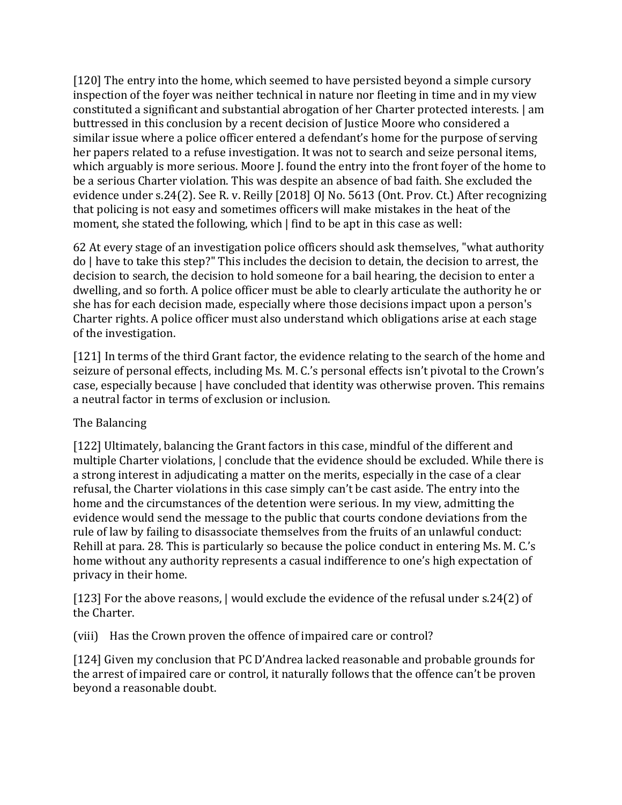[120] The entry into the home, which seemed to have persisted beyond a simple cursory inspection of the foyer was neither technical in nature nor fleeting in time and in my view constituted a significant and substantial abrogation of her Charter protected interests. | am buttressed in this conclusion by a recent decision of Justice Moore who considered a similar issue where a police officer entered a defendant's home for the purpose of serving her papers related to a refuse investigation. It was not to search and seize personal items, which arguably is more serious. Moore J. found the entry into the front foyer of the home to be a serious Charter violation. This was despite an absence of bad faith. She excluded the evidence under s.24(2). See R. v. Reilly [2018] OJ No. 5613 (Ont. Prov. Ct.) After recognizing that policing is not easy and sometimes officers will make mistakes in the heat of the moment, she stated the following, which | find to be apt in this case as well:

62 At every stage of an investigation police officers should ask themselves, "what authority do | have to take this step?" This includes the decision to detain, the decision to arrest, the decision to search, the decision to hold someone for a bail hearing, the decision to enter a dwelling, and so forth. A police officer must be able to clearly articulate the authority he or she has for each decision made, especially where those decisions impact upon a person's Charter rights. A police officer must also understand which obligations arise at each stage of the investigation.

[121] In terms of the third Grant factor, the evidence relating to the search of the home and seizure of personal effects, including Ms. M. C.'s personal effects isn't pivotal to the Crown's case, especially because | have concluded that identity was otherwise proven. This remains a neutral factor in terms of exclusion or inclusion.

# The Balancing

[122] Ultimately, balancing the Grant factors in this case, mindful of the different and multiple Charter violations, | conclude that the evidence should be excluded. While there is a strong interest in adjudicating a matter on the merits, especially in the case of a clear refusal, the Charter violations in this case simply can't be cast aside. The entry into the home and the circumstances of the detention were serious. In my view, admitting the evidence would send the message to the public that courts condone deviations from the rule of law by failing to disassociate themselves from the fruits of an unlawful conduct: Rehill at para. 28. This is particularly so because the police conduct in entering Ms. M. C.'s home without any authority represents a casual indifference to one's high expectation of privacy in their home.

[123] For the above reasons,  $\vert$  would exclude the evidence of the refusal under s.24(2) of the Charter.

(viii) Has the Crown proven the offence of impaired care or control?

[124] Given my conclusion that PC D'Andrea lacked reasonable and probable grounds for the arrest of impaired care or control, it naturally follows that the offence can't be proven beyond a reasonable doubt.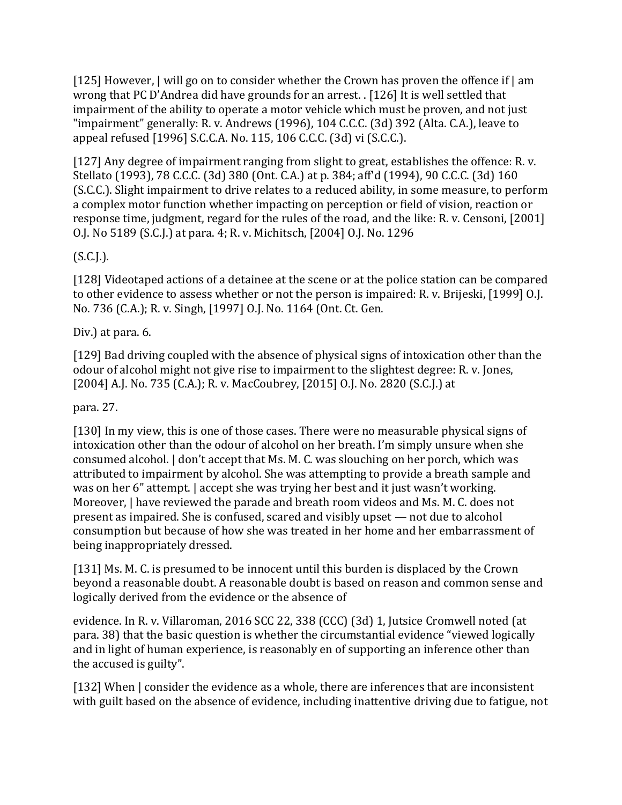[125] However, | will go on to consider whether the Crown has proven the offence if | am wrong that PC D'Andrea did have grounds for an arrest. . [126] It is well settled that impairment of the ability to operate a motor vehicle which must be proven, and not just "impairment" generally: R. v. Andrews (1996), 104 C.C.C. (3d) 392 (Alta. C.A.), leave to appeal refused [1996] S.C.C.A. No. 115, 106 C.C.C. (3d) vi (S.C.C.).

[127] Any degree of impairment ranging from slight to great, establishes the offence: R. v. Stellato (1993), 78 C.C.C. (3d) 380 (Ont. C.A.) at p. 384; aff'd (1994), 90 C.C.C. (3d) 160 (S.C.C.). Slight impairment to drive relates to a reduced ability, in some measure, to perform a complex motor function whether impacting on perception or field of vision, reaction or response time, judgment, regard for the rules of the road, and the like: R. v. Censoni, [2001] O.J. No 5189 (S.C.J.) at para. 4; R. v. Michitsch, [2004] O.J. No. 1296

# (S.C.J.).

[128] Videotaped actions of a detainee at the scene or at the police station can be compared to other evidence to assess whether or not the person is impaired: R. v. Brijeski, [1999] O.J. No. 736 (C.A.); R. v. Singh, [1997] O.J. No. 1164 (Ont. Ct. Gen.

# Div.) at para. 6.

[129] Bad driving coupled with the absence of physical signs of intoxication other than the odour of alcohol might not give rise to impairment to the slightest degree: R. v. Jones, [2004] A.J. No. 735 (C.A.); R. v. MacCoubrey, [2015] O.J. No. 2820 (S.C.J.) at

# para. 27.

[130] In my view, this is one of those cases. There were no measurable physical signs of intoxication other than the odour of alcohol on her breath. I'm simply unsure when she consumed alcohol. | don't accept that Ms. M. C. was slouching on her porch, which was attributed to impairment by alcohol. She was attempting to provide a breath sample and was on her 6" attempt. | accept she was trying her best and it just wasn't working. Moreover,  $\vert$  have reviewed the parade and breath room videos and Ms. M. C. does not present as impaired. She is confused, scared and visibly upset — not due to alcohol consumption but because of how she was treated in her home and her embarrassment of being inappropriately dressed.

[131] Ms. M. C. is presumed to be innocent until this burden is displaced by the Crown beyond a reasonable doubt. A reasonable doubt is based on reason and common sense and logically derived from the evidence or the absence of

evidence. In R. v. Villaroman, 2016 SCC 22, 338 (CCC) (3d) 1, Jutsice Cromwell noted (at para. 38) that the basic question is whether the circumstantial evidence "viewed logically and in light of human experience, is reasonably en of supporting an inference other than the accused is guilty".

[132] When  $\vert$  consider the evidence as a whole, there are inferences that are inconsistent with guilt based on the absence of evidence, including inattentive driving due to fatigue, not